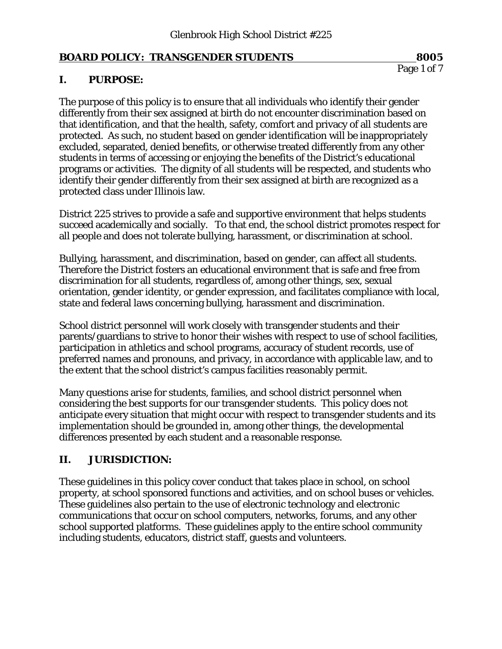# **BOARD POLICY: TRANSGENDER STUDENTS 8005**

#### **I. PURPOSE:**

The purpose of this policy is to ensure that all individuals who identify their gender differently from their sex assigned at birth do not encounter discrimination based on that identification, and that the health, safety, comfort and privacy of all students are protected. As such, no student based on gender identification will be inappropriately excluded, separated, denied benefits, or otherwise treated differently from any other students in terms of accessing or enjoying the benefits of the District's educational programs or activities. The dignity of all students will be respected, and students who identify their gender differently from their sex assigned at birth are recognized as a protected class under Illinois law.

District 225 strives to provide a safe and supportive environment that helps students succeed academically and socially. To that end, the school district promotes respect for all people and does not tolerate bullying, harassment, or discrimination at school.

Bullying, harassment, and discrimination, based on gender, can affect all students. Therefore the District fosters an educational environment that is safe and free from discrimination for all students, regardless of, among other things, sex, sexual orientation, gender identity, or gender expression, and facilitates compliance with local, state and federal laws concerning bullying, harassment and discrimination.

School district personnel will work closely with transgender students and their parents/guardians to strive to honor their wishes with respect to use of school facilities, participation in athletics and school programs, accuracy of student records, use of preferred names and pronouns, and privacy, in accordance with applicable law, and to the extent that the school district's campus facilities reasonably permit.

Many questions arise for students, families, and school district personnel when considering the best supports for our transgender students. This policy does not anticipate every situation that might occur with respect to transgender students and its implementation should be grounded in, among other things, the developmental differences presented by each student and a reasonable response.

# **II. JURISDICTION:**

These guidelines in this policy cover conduct that takes place in school, on school property, at school sponsored functions and activities, and on school buses or vehicles. These guidelines also pertain to the use of electronic technology and electronic communications that occur on school computers, networks, forums, and any other school supported platforms. These guidelines apply to the entire school community including students, educators, district staff, guests and volunteers.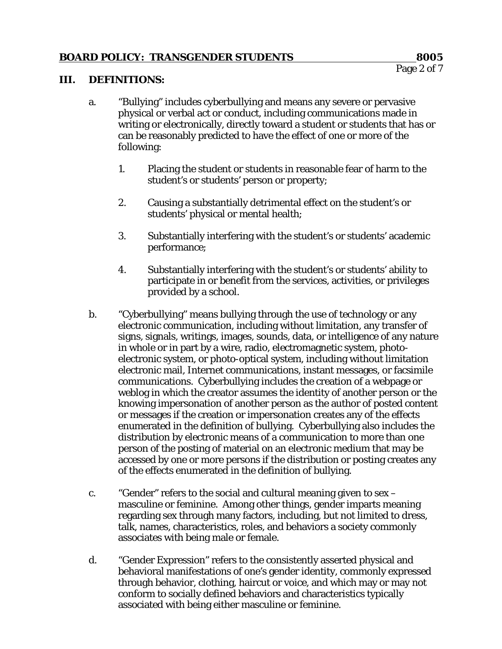#### **III. DEFINITIONS:**

- a. "Bullying" includes cyberbullying and means any severe or pervasive physical or verbal act or conduct, including communications made in writing or electronically, directly toward a student or students that has or can be reasonably predicted to have the effect of one or more of the following:
	- 1. Placing the student or students in reasonable fear of harm to the student's or students' person or property;
	- 2. Causing a substantially detrimental effect on the student's or students' physical or mental health;
	- 3. Substantially interfering with the student's or students' academic performance;
	- 4. Substantially interfering with the student's or students' ability to participate in or benefit from the services, activities, or privileges provided by a school.
- b. "Cyberbullying" means bullying through the use of technology or any electronic communication, including without limitation, any transfer of signs, signals, writings, images, sounds, data, or intelligence of any nature in whole or in part by a wire, radio, electromagnetic system, photoelectronic system, or photo-optical system, including without limitation electronic mail, Internet communications, instant messages, or facsimile communications. Cyberbullying includes the creation of a webpage or weblog in which the creator assumes the identity of another person or the knowing impersonation of another person as the author of posted content or messages if the creation or impersonation creates any of the effects enumerated in the definition of bullying. Cyberbullying also includes the distribution by electronic means of a communication to more than one person of the posting of material on an electronic medium that may be accessed by one or more persons if the distribution or posting creates any of the effects enumerated in the definition of bullying.
- c. "Gender" refers to the social and cultural meaning given to sex masculine or feminine. Among other things, gender imparts meaning regarding sex through many factors, including, but not limited to dress, talk, names, characteristics, roles, and behaviors a society commonly associates with being male or female.
- d. "Gender Expression" refers to the consistently asserted physical and behavioral manifestations of one's gender identity, commonly expressed through behavior, clothing, haircut or voice, and which may or may not conform to socially defined behaviors and characteristics typically associated with being either masculine or feminine.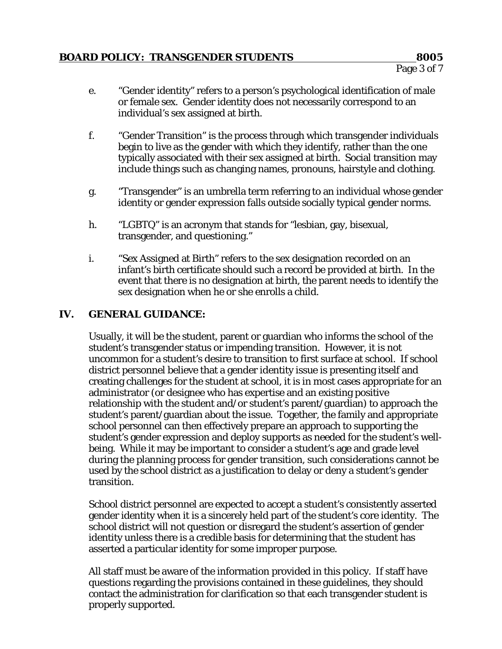- e. "Gender identity" refers to a person's psychological identification of male or female sex. Gender identity does not necessarily correspond to an individual's sex assigned at birth.
- f. "Gender Transition" is the process through which transgender individuals begin to live as the gender with which they identify, rather than the one typically associated with their sex assigned at birth. Social transition may include things such as changing names, pronouns, hairstyle and clothing.
- g. "Transgender" is an umbrella term referring to an individual whose gender identity or gender expression falls outside socially typical gender norms.
- h. "LGBTQ" is an acronym that stands for "lesbian, gay, bisexual, transgender, and questioning."
- i. "Sex Assigned at Birth" refers to the sex designation recorded on an infant's birth certificate should such a record be provided at birth. In the event that there is no designation at birth, the parent needs to identify the sex designation when he or she enrolls a child.

# **IV. GENERAL GUIDANCE:**

Usually, it will be the student, parent or guardian who informs the school of the student's transgender status or impending transition. However, it is not uncommon for a student's desire to transition to first surface at school. If school district personnel believe that a gender identity issue is presenting itself and creating challenges for the student at school, it is in most cases appropriate for an administrator (or designee who has expertise and an existing positive relationship with the student and/or student's parent/guardian) to approach the student's parent/guardian about the issue. Together, the family and appropriate school personnel can then effectively prepare an approach to supporting the student's gender expression and deploy supports as needed for the student's wellbeing. While it may be important to consider a student's age and grade level during the planning process for gender transition, such considerations cannot be used by the school district as a justification to delay or deny a student's gender transition.

School district personnel are expected to accept a student's consistently asserted gender identity when it is a sincerely held part of the student's core identity. The school district will not question or disregard the student's assertion of gender identity unless there is a credible basis for determining that the student has asserted a particular identity for some improper purpose.

All staff must be aware of the information provided in this policy. If staff have questions regarding the provisions contained in these guidelines, they should contact the administration for clarification so that each transgender student is properly supported.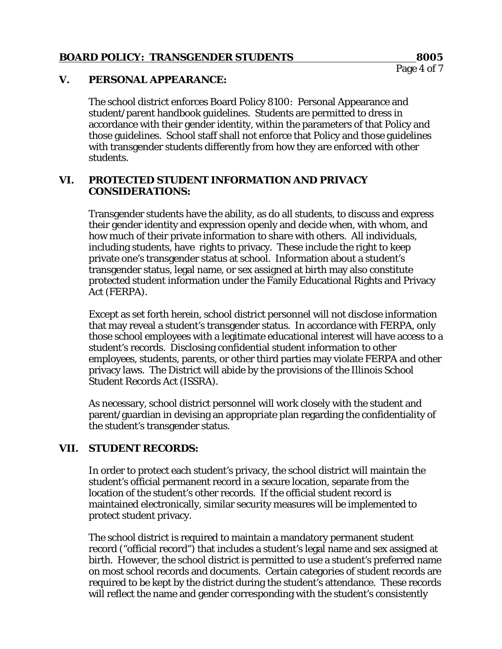#### **BOARD POLICY: TRANSGENDER STUDENTS 8005**

#### **V. PERSONAL APPEARANCE:**

The school district enforces Board Policy 8100: Personal Appearance and student/parent handbook guidelines. Students are permitted to dress in accordance with their gender identity, within the parameters of that Policy and those guidelines. School staff shall not enforce that Policy and those guidelines with transgender students differently from how they are enforced with other students.

#### **VI. PROTECTED STUDENT INFORMATION AND PRIVACY CONSIDERATIONS:**

Transgender students have the ability, as do all students, to discuss and express their gender identity and expression openly and decide when, with whom, and how much of their private information to share with others. All individuals, including students, have rights to privacy. These include the right to keep private one's transgender status at school. Information about a student's transgender status, legal name, or sex assigned at birth may also constitute protected student information under the Family Educational Rights and Privacy Act (FERPA).

Except as set forth herein, school district personnel will not disclose information that may reveal a student's transgender status. In accordance with FERPA, only those school employees with a legitimate educational interest will have access to a student's records. Disclosing confidential student information to other employees, students, parents, or other third parties may violate FERPA and other privacy laws. The District will abide by the provisions of the Illinois School Student Records Act (ISSRA).

As necessary, school district personnel will work closely with the student and parent/guardian in devising an appropriate plan regarding the confidentiality of the student's transgender status.

#### **VII. STUDENT RECORDS:**

In order to protect each student's privacy, the school district will maintain the student's official permanent record in a secure location, separate from the location of the student's other records. If the official student record is maintained electronically, similar security measures will be implemented to protect student privacy.

The school district is required to maintain a mandatory permanent student record ("official record") that includes a student's legal name and sex assigned at birth. However, the school district is permitted to use a student's preferred name on most school records and documents. Certain categories of student records are required to be kept by the district during the student's attendance. These records will reflect the name and gender corresponding with the student's consistently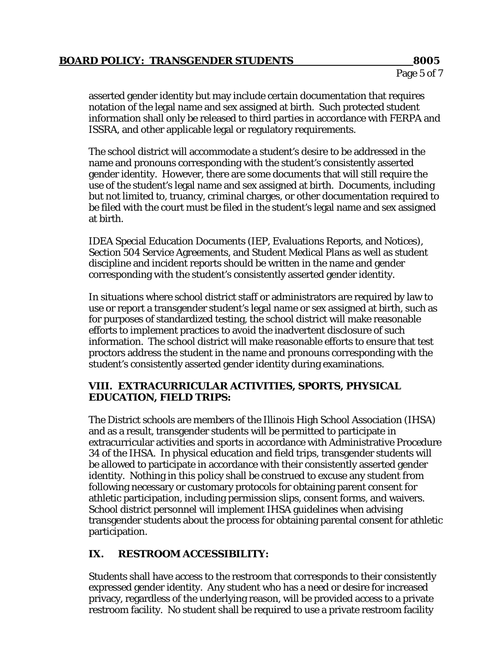asserted gender identity but may include certain documentation that requires notation of the legal name and sex assigned at birth. Such protected student information shall only be released to third parties in accordance with FERPA and ISSRA, and other applicable legal or regulatory requirements.

The school district will accommodate a student's desire to be addressed in the name and pronouns corresponding with the student's consistently asserted gender identity. However, there are some documents that will still require the use of the student's legal name and sex assigned at birth. Documents, including but not limited to, truancy, criminal charges, or other documentation required to be filed with the court must be filed in the student's legal name and sex assigned at birth.

IDEA Special Education Documents (IEP, Evaluations Reports, and Notices), Section 504 Service Agreements, and Student Medical Plans as well as student discipline and incident reports should be written in the name and gender corresponding with the student's consistently asserted gender identity.

In situations where school district staff or administrators are required by law to use or report a transgender student's legal name or sex assigned at birth, such as for purposes of standardized testing, the school district will make reasonable efforts to implement practices to avoid the inadvertent disclosure of such information. The school district will make reasonable efforts to ensure that test proctors address the student in the name and pronouns corresponding with the student's consistently asserted gender identity during examinations.

## **VIII. EXTRACURRICULAR ACTIVITIES, SPORTS, PHYSICAL EDUCATION, FIELD TRIPS:**

The District schools are members of the Illinois High School Association (IHSA) and as a result, transgender students will be permitted to participate in extracurricular activities and sports in accordance with Administrative Procedure 34 of the IHSA. In physical education and field trips, transgender students will be allowed to participate in accordance with their consistently asserted gender identity. Nothing in this policy shall be construed to excuse any student from following necessary or customary protocols for obtaining parent consent for athletic participation, including permission slips, consent forms, and waivers. School district personnel will implement IHSA guidelines when advising transgender students about the process for obtaining parental consent for athletic participation.

# **IX. RESTROOM ACCESSIBILITY:**

Students shall have access to the restroom that corresponds to their consistently expressed gender identity. Any student who has a need or desire for increased privacy, regardless of the underlying reason, will be provided access to a private restroom facility. No student shall be required to use a private restroom facility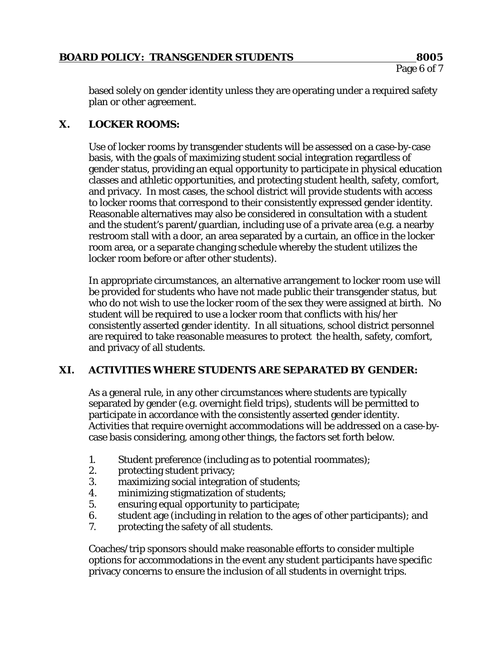based solely on gender identity unless they are operating under a required safety plan or other agreement.

# **X. LOCKER ROOMS:**

Use of locker rooms by transgender students will be assessed on a case-by-case basis, with the goals of maximizing student social integration regardless of gender status, providing an equal opportunity to participate in physical education classes and athletic opportunities, and protecting student health, safety, comfort, and privacy. In most cases, the school district will provide students with access to locker rooms that correspond to their consistently expressed gender identity. Reasonable alternatives may also be considered in consultation with a student and the student's parent/guardian, including use of a private area (e.g. a nearby restroom stall with a door, an area separated by a curtain, an office in the locker room area, or a separate changing schedule whereby the student utilizes the locker room before or after other students).

In appropriate circumstances, an alternative arrangement to locker room use will be provided for students who have not made public their transgender status, but who do not wish to use the locker room of the sex they were assigned at birth. No student will be required to use a locker room that conflicts with his/her consistently asserted gender identity. In all situations, school district personnel are required to take reasonable measures to protect the health, safety, comfort, and privacy of all students.

# **XI. ACTIVITIES WHERE STUDENTS ARE SEPARATED BY GENDER:**

As a general rule, in any other circumstances where students are typically separated by gender (e.g. overnight field trips), students will be permitted to participate in accordance with the consistently asserted gender identity. Activities that require overnight accommodations will be addressed on a case-bycase basis considering, among other things, the factors set forth below.

- 1. Student preference (including as to potential roommates);
- 2. protecting student privacy;
- 3. maximizing social integration of students;
- 4. minimizing stigmatization of students;
- 5. ensuring equal opportunity to participate;
- 6. student age (including in relation to the ages of other participants); and
- 7. protecting the safety of all students.

Coaches/trip sponsors should make reasonable efforts to consider multiple options for accommodations in the event any student participants have specific privacy concerns to ensure the inclusion of all students in overnight trips.